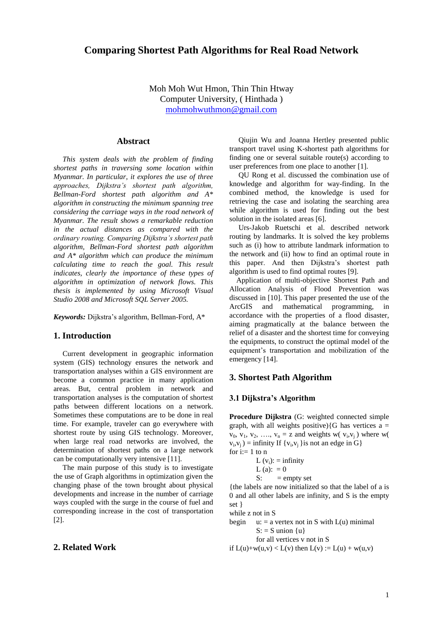# **Comparing Shortest Path Algorithms for Real Road Network**

Moh Moh Wut Hmon, Thin Thin Htway Computer University, ( Hinthada ) mohmohwuthmo[n@gmail.com](mailto:wlsoe33@gmail.com)

## **Abstract**

*This system deals with the problem of finding shortest paths in traversing some location within Myanmar. In particular, it explores the use of three approaches, Dijkstra's shortest path algorithm, Bellman-Ford shortest path algorithm and A\* algorithm in constructing the minimum spanning tree considering the carriage ways in the road network of Myanmar. The result shows a remarkable reduction in the actual distances as compared with the ordinary routing. Comparing Dijkstra's shortest path algorithm, Bellman-Ford shortest path algorithm and A\* algorithm which can produce the minimum calculating time to reach the goal. This result indicates, clearly the importance of these types of algorithm in optimization of network flows. This thesis is implemented by using Microsoft Visual Studio 2008 and Microsoft SQL Server 2005.*

*Keywords:* Dijkstra's algorithm, Bellman-Ford, A\*

#### **1. Introduction**

Current development in geographic information system (GIS) technology ensures the network and transportation analyses within a GIS environment are become a common practice in many application areas. But, central problem in network and transportation analyses is the computation of shortest paths between different locations on a network. Sometimes these computations are to be done in real time. For example, traveler can go everywhere with shortest route by using GIS technology. Moreover, when large real road networks are involved, the determination of shortest paths on a large network can be computationally very intensive [11].

The main purpose of this study is to investigate the use of Graph algorithms in optimization given the changing phase of the town brought about physical developments and increase in the number of carriage ways coupled with the surge in the course of fuel and corresponding increase in the cost of transportation [2].

## **2. Related Work**

Qiujin Wu and Joanna Hertley presented public transport travel using K-shortest path algorithms for finding one or several suitable route(s) according to user preferences from one place to another [1].

QU Rong et al. discussed the combination use of knowledge and algorithm for way-finding. In the combined method, the knowledge is used for retrieving the case and isolating the searching area while algorithm is used for finding out the best solution in the isolated areas [6].

Urs-Jakob Ruetschi et al. described network routing by landmarks. It is solved the key problems such as (i) how to attribute landmark information to the network and (ii) how to find an optimal route in this paper. And then Dijkstra's shortest path algorithm is used to find optimal routes [9].

Application of multi-objective Shortest Path and Allocation Analysis of Flood Prevention was discussed in [10]. This paper presented the use of the ArcGIS and mathematical programming, in accordance with the properties of a flood disaster, aiming pragmatically at the balance between the relief of a disaster and the shortest time for conveying the equipments, to construct the optimal model of the equipment's transportation and mobilization of the emergency [14].

## **3. Shortest Path Algorithm**

### **3.1 Dijkstra's Algorithm**

**Procedure Dijkstra** (G: weighted connected simple graph, with all weights positive) $\{G \text{ has vertices } a =$  $v_0$ ,  $v_1$ ,  $v_2$ , ...,  $v_n = z$  and weights w( $v_i$ , $v_j$ ) where w(  $v_i, v_j$ ) = infinity If  $\{v_i, v_j\}$  is not an edge in G} for  $i:= 1$  to n

L (vi): = infinity L (a): = 0 S: = empty set

{the labels are now initialized so that the label of a is 0 and all other labels are infinity, and S is the empty set }

while z not in S

begin  $u: = a$  vertex not in S with  $L(u)$  minimal  $S: = S$  union  $\{u\}$ for all vertices v not in S

if  $L(u)+w(u,v) < L(v)$  then  $L(v) := L(u) + w(u,v)$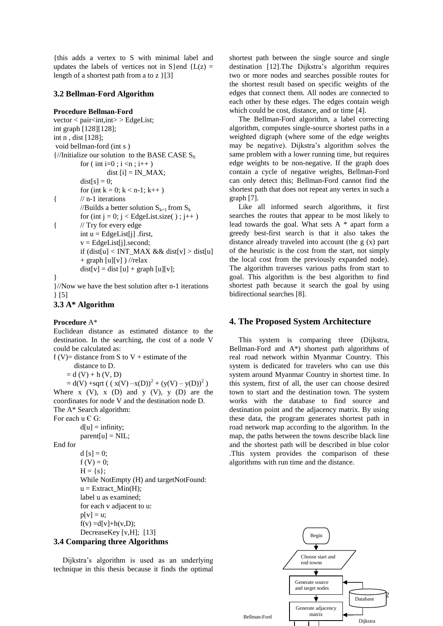{this adds a vertex to S with minimal label and updates the labels of vertices not in S } end { $L(z)$  = length of a shortest path from a to z }[3]

### **3.2 Bellman-Ford Algorithm**

### **Procedure Bellman-Ford**

 $vector < pair < int, int > EdgeList;$ int graph [128][128]; int n , dist [128]; void bellman-ford (int s )  $\frac{1}{\pi}$  (//Initialize our solution to the BASE CASE S<sub>0</sub> for ( int i=0 ; i <n ; i++ ) dist  $[i] = IN_MAX;$  $dist[s] = 0;$ for (int  $k = 0$ ;  $k < n-1$ ;  $k++$ ) { // n-1 iterations //Builds a better solution  $S_{k+1}$  from  $S_k$ for (int j = 0; j < EdgeList.size(); j++) { // Try for every edge int  $u = Edgelist[i]$ . first,  $v = Edgelist[j].second;$ if  $(dist[u] < INT\_MAX$  && dist[v] > dist[u]  $+$  graph [u][v] ) //relax  $dist[v] = dist[u] + graph[u][v];$ } }//Now we have the best solution after n-1 iterations

} [5]

```
3.3 A* Algorithm
```
**Procedure** A\* Euclidean distance as estimated distance to the destination. In the searching, the cost of a node V could be calculated as: f (V)= distance from S to V + estimate of the distance to D.

 $= d (V) + h (V, D)$  $= d(V) + \text{sqrt}((x(V) - x(D))^2 + (y(V) - y(D))^2)$ Where  $x (V)$ ,  $x (D)$  and  $y (V)$ ,  $y (D)$  are the coordinates for node V and the destination node D. The A\* Search algorithm: For each  $u \in G$ :

 $d[u] =$  infinity;  $parent[u] = NULL;$ End for d  $[s] = 0;$  $f(V) = 0;$  $H = \{s\};$ While NotEmpty (H) and targetNotFound:  $u =$  Extract Min(H); label u as examined; for each v adjacent to u:  $p[v] = u;$  $f(v) = d[v] + h(v,D);$ DecreaseKey [v,H]; [13]

## **3.4 Comparing three Algorithms**

Dijkstra's algorithm is used as an underlying technique in this thesis because it finds the optimal shortest path between the single source and single destination [12].The Dijkstra's algorithm requires two or more nodes and searches possible routes for the shortest result based on specific weights of the edges that connect them. All nodes are connected to each other by these edges. The edges contain weigh which could be cost, distance, and or time [4].

The Bellman-Ford algorithm, a label correcting algorithm, computes single-source shortest paths in a weighted digraph (where some of the edge weights may be negative). Dijkstra's algorithm solves the same problem with a lower running time, but requires edge weights to be non-negative. If the graph does contain a cycle of negative weights, Bellman-Ford can only detect this; Bellman-Ford cannot find the shortest path that does not repeat any vertex in such a graph [7].

Like all informed search algorithms, it first searches the routes that appear to be most likely to lead towards the goal. What sets A \* apart form a greedy best-first search is that it also takes the distance already traveled into account (the g (x) part of the heuristic is the cost from the start, not simply the local cost from the previously expanded node). The algorithm traverses various paths from start to goal. This algorithm is the best algorithm to find shortest path because it search the goal by using bidirectional searches [8].

## **4. The Proposed System Architecture**

This system is comparing three (Dijkstra, Bellman-Ford and A\*) shortest path algorithms of real road network within Myanmar Country. This system is dedicated for travelers who can use this system around Myanmar Country in shortest time. In this system, first of all, the user can choose desired town to start and the destination town. The system works with the database to find source and destination point and the adjacency matrix. By using these data, the program generates shortest path in road network map according to the algorithm. In the map, the paths between the towns describe black line and the shortest path will be described in blue color .This system provides the comparison of these algorithms with run time and the distance.

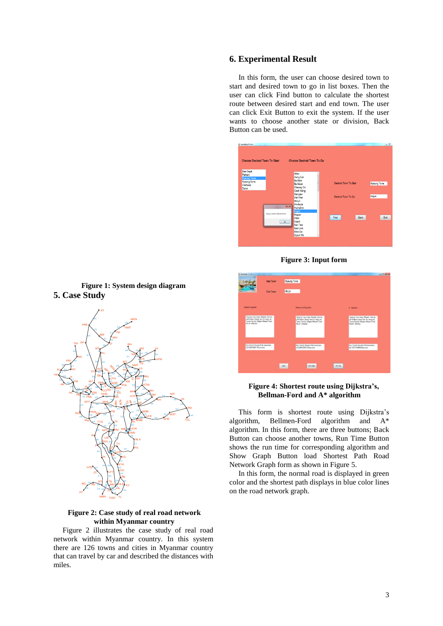## **6. Experimental Result**

In this form, the user can choose desired town to start and desired town to go in list boxes. Then the user can click Find button to calculate the shortest route between desired start and end town. The user can click Exit Button to exit the system. If the user wants to choose another state or division, Back Button can be used.







### **Figure 4: Shortest route using Dijkstra's, Bellman-Ford and A\* algorithm**

This form is shortest route using Dijkstra's algorithm, Bellmen-Ford algorithm and A\* algorithm. In this form, there are three buttons; Back Button can choose another towns, Run Time Button shows the run time for corresponding algorithm and Show Graph Button load Shortest Path Road Network Graph form as shown in Figure 5.

In this form, the normal road is displayed in green color and the shortest path displays in blue color lines on the road network graph.





### **Figure 2: Case study of real road network within Myanmar country**

Figure 2 illustrates the case study of real road network within Myanmar country. In this system there are 126 towns and cities in Myanmar country that can travel by car and described the distances with miles.